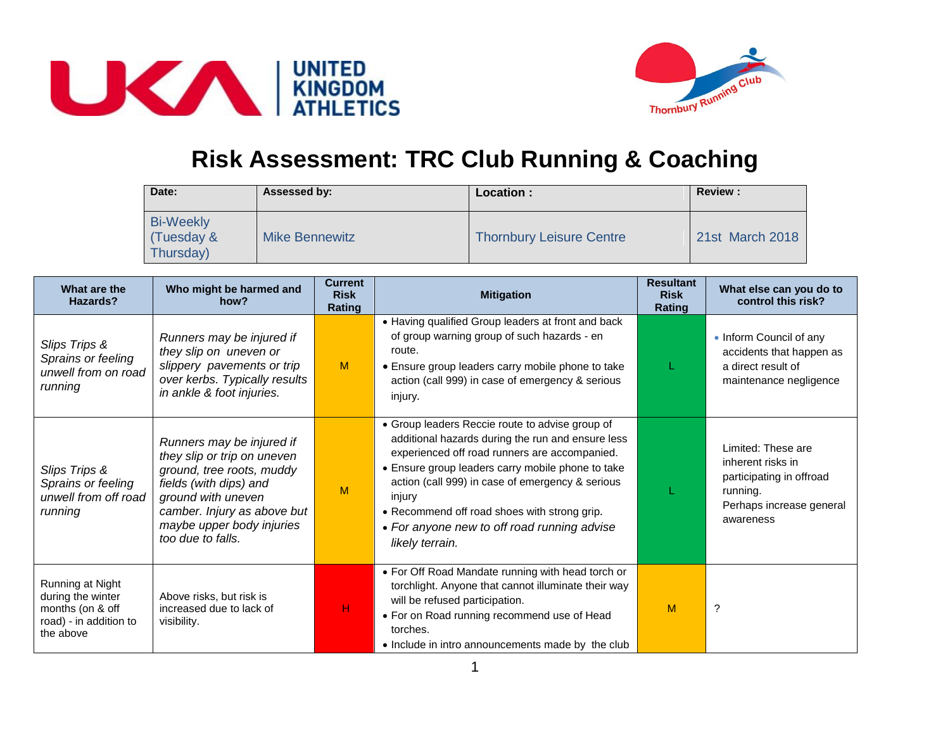



## **Risk Assessment: TRC Club Running & Coaching**

| Date:                                       | Assessed by:          | Location :                      | <b>Review:</b>  |
|---------------------------------------------|-----------------------|---------------------------------|-----------------|
| <b>Bi-Weekly</b><br>(Tuesday &<br>Thursday) | <b>Mike Bennewitz</b> | <b>Thornbury Leisure Centre</b> | 21st March 2018 |

| What are the<br>Hazards?                                                                         | Who might be harmed and<br>how?                                                                                                                                                                                        | <b>Current</b><br><b>Risk</b><br>Rating | <b>Mitigation</b>                                                                                                                                                                                                                                                                                                                                                                          | <b>Resultant</b><br><b>Risk</b><br>Rating | What else can you do to<br>control this risk?                                                                            |
|--------------------------------------------------------------------------------------------------|------------------------------------------------------------------------------------------------------------------------------------------------------------------------------------------------------------------------|-----------------------------------------|--------------------------------------------------------------------------------------------------------------------------------------------------------------------------------------------------------------------------------------------------------------------------------------------------------------------------------------------------------------------------------------------|-------------------------------------------|--------------------------------------------------------------------------------------------------------------------------|
| Slips Trips &<br>Sprains or feeling<br>unwell from on road<br>running                            | Runners may be injured if<br>they slip on uneven or<br>slippery pavements or trip<br>over kerbs. Typically results<br>in ankle & foot injuries.                                                                        | M                                       | • Having qualified Group leaders at front and back<br>of group warning group of such hazards - en<br>route.<br>• Ensure group leaders carry mobile phone to take<br>action (call 999) in case of emergency & serious<br>injury.                                                                                                                                                            |                                           | • Inform Council of any<br>accidents that happen as<br>a direct result of<br>maintenance negligence                      |
| Slips Trips &<br>Sprains or feeling<br>unwell from off road<br>running                           | Runners may be injured if<br>they slip or trip on uneven<br>ground, tree roots, muddy<br>fields (with dips) and<br>ground with uneven<br>camber. Injury as above but<br>maybe upper body injuries<br>too due to falls. | M                                       | • Group leaders Reccie route to advise group of<br>additional hazards during the run and ensure less<br>experienced off road runners are accompanied.<br>• Ensure group leaders carry mobile phone to take<br>action (call 999) in case of emergency & serious<br>injury<br>• Recommend off road shoes with strong grip.<br>• For anyone new to off road running advise<br>likely terrain. |                                           | Limited: These are<br>inherent risks in<br>participating in offroad<br>running.<br>Perhaps increase general<br>awareness |
| Running at Night<br>during the winter<br>months (on & off<br>road) - in addition to<br>the above | Above risks, but risk is<br>increased due to lack of<br>visibility.                                                                                                                                                    | н                                       | • For Off Road Mandate running with head torch or<br>torchlight. Anyone that cannot illuminate their way<br>will be refused participation.<br>• For on Road running recommend use of Head<br>torches.<br>• Include in intro announcements made by the club                                                                                                                                 | M                                         | ?                                                                                                                        |